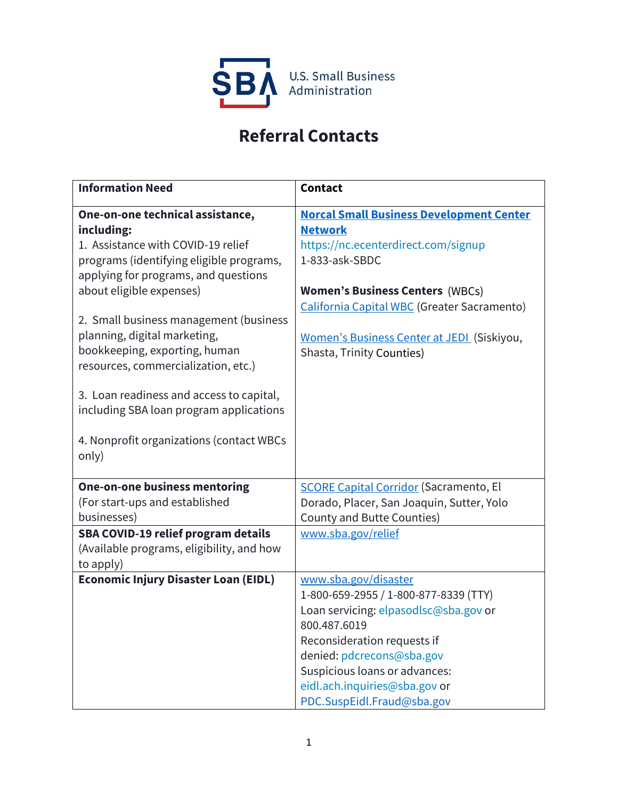

## **Referral Contacts**

| <b>Information Need</b>                                                                                                                                                                                                                                                                                                                                                                                                                       | <b>Contact</b>                                                                                                                                                                                                                                                                                 |
|-----------------------------------------------------------------------------------------------------------------------------------------------------------------------------------------------------------------------------------------------------------------------------------------------------------------------------------------------------------------------------------------------------------------------------------------------|------------------------------------------------------------------------------------------------------------------------------------------------------------------------------------------------------------------------------------------------------------------------------------------------|
| One-on-one technical assistance,<br>including:<br>1. Assistance with COVID-19 relief<br>programs (identifying eligible programs,<br>applying for programs, and questions<br>about eligible expenses)<br>2. Small business management (business<br>planning, digital marketing,<br>bookkeeping, exporting, human<br>resources, commercialization, etc.)<br>3. Loan readiness and access to capital,<br>including SBA loan program applications | <b>Norcal Small Business Development Center</b><br><b>Network</b><br>https://nc.ecenterdirect.com/signup<br>1-833-ask-SBDC<br><b>Women's Business Centers (WBCs)</b><br>California Capital WBC (Greater Sacramento)<br>Women's Business Center at JEDI (Siskiyou,<br>Shasta, Trinity Counties) |
| 4. Nonprofit organizations (contact WBCs<br>only)                                                                                                                                                                                                                                                                                                                                                                                             |                                                                                                                                                                                                                                                                                                |
| <b>One-on-one business mentoring</b><br>(For start-ups and established<br>businesses)<br>SBA COVID-19 relief program details                                                                                                                                                                                                                                                                                                                  | <b>SCORE Capital Corridor (Sacramento, El</b><br>Dorado, Placer, San Joaquin, Sutter, Yolo<br>County and Butte Counties)<br>www.sba.gov/relief                                                                                                                                                 |
| (Available programs, eligibility, and how<br>to apply)                                                                                                                                                                                                                                                                                                                                                                                        |                                                                                                                                                                                                                                                                                                |
| <b>Economic Injury Disaster Loan (EIDL)</b>                                                                                                                                                                                                                                                                                                                                                                                                   | www.sba.gov/disaster<br>1-800-659-2955 / 1-800-877-8339 (TTY)<br>Loan servicing: elpasodlsc@sba.gov or<br>800.487.6019<br>Reconsideration requests if<br>denied: pdcrecons@sba.gov<br>Suspicious loans or advances:<br>eidl.ach.inquiries@sba.gov or<br>PDC.SuspEidl.Fraud@sba.gov             |